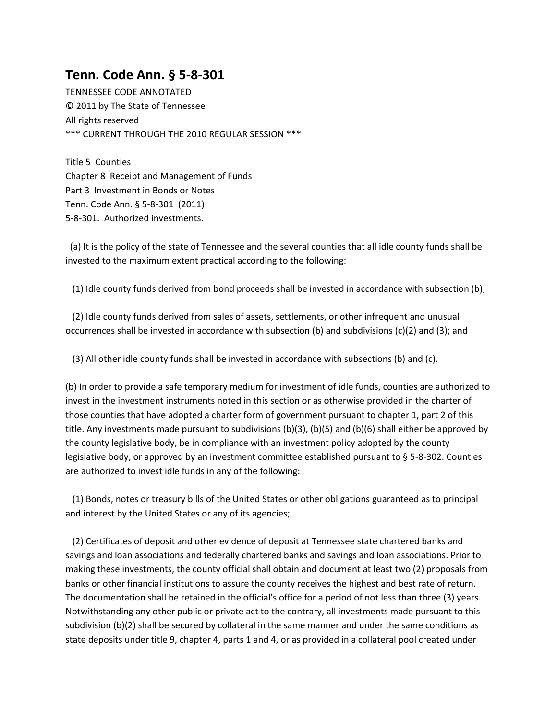## **Tenn. Code Ann. § 5-8-301**

TENNESSEE CODE ANNOTATED © 2011 by The State of Tennessee All rights reserved \*\*\* CURRENT THROUGH THE 2010 REGULAR SESSION \*\*\*

Title 5 Counties Chapter 8 Receipt and Management of Funds Part 3 Investment in Bonds or Notes Tenn. Code Ann. § 5-8-301 (2011) 5-8-301. Authorized investments.

(a) It is the policy of the state of Tennessee and the several counties that all idle county funds shall be invested to the maximum extent practical according to the following:

(1) Idle county funds derived from bond proceeds shall be invested in accordance with subsection (b);

 (2) Idle county funds derived from sales of assets, settlements, or other infrequent and unusual occurrences shall be invested in accordance with subsection (b) and subdivisions (c)(2) and (3); and

(3) All other idle county funds shall be invested in accordance with subsections (b) and (c).

(b) In order to provide a safe temporary medium for investment of idle funds, counties are authorized to invest in the investment instruments noted in this section or as otherwise provided in the charter of those counties that have adopted a charter form of government pursuant to chapter 1, part 2 of this title. Any investments made pursuant to subdivisions (b)(3), (b)(5) and (b)(6) shall either be approved by the county legislative body, be in compliance with an investment policy adopted by the county legislative body, or approved by an investment committee established pursuant to § 5-8-302. Counties are authorized to invest idle funds in any of the following:

 (1) Bonds, notes or treasury bills of the United States or other obligations guaranteed as to principal and interest by the United States or any of its agencies;

 (2) Certificates of deposit and other evidence of deposit at Tennessee state chartered banks and savings and loan associations and federally chartered banks and savings and loan associations. Prior to making these investments, the county official shall obtain and document at least two (2) proposals from banks or other financial institutions to assure the county receives the highest and best rate of return. The documentation shall be retained in the official's office for a period of not less than three (3) years. Notwithstanding any other public or private act to the contrary, all investments made pursuant to this subdivision (b)(2) shall be secured by collateral in the same manner and under the same conditions as state deposits under title 9, chapter 4, parts 1 and 4, or as provided in a collateral pool created under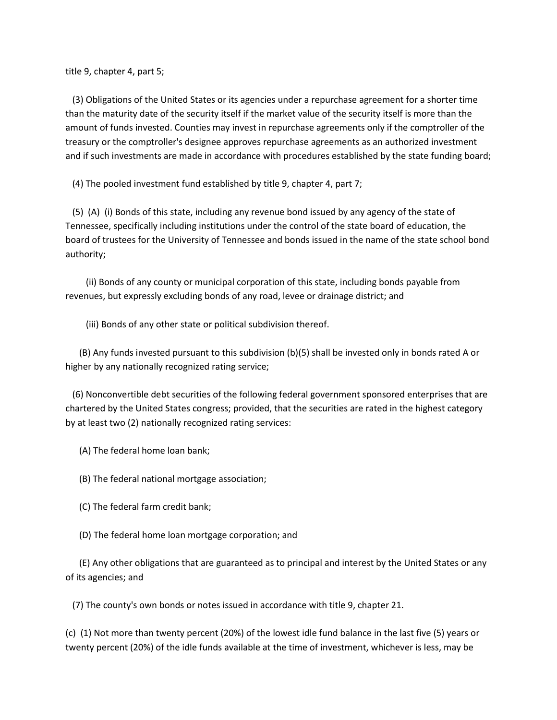title 9, chapter 4, part 5;

 (3) Obligations of the United States or its agencies under a repurchase agreement for a shorter time than the maturity date of the security itself if the market value of the security itself is more than the amount of funds invested. Counties may invest in repurchase agreements only if the comptroller of the treasury or the comptroller's designee approves repurchase agreements as an authorized investment and if such investments are made in accordance with procedures established by the state funding board;

(4) The pooled investment fund established by title 9, chapter 4, part 7;

 (5) (A) (i) Bonds of this state, including any revenue bond issued by any agency of the state of Tennessee, specifically including institutions under the control of the state board of education, the board of trustees for the University of Tennessee and bonds issued in the name of the state school bond authority;

 (ii) Bonds of any county or municipal corporation of this state, including bonds payable from revenues, but expressly excluding bonds of any road, levee or drainage district; and

(iii) Bonds of any other state or political subdivision thereof.

 (B) Any funds invested pursuant to this subdivision (b)(5) shall be invested only in bonds rated A or higher by any nationally recognized rating service;

 (6) Nonconvertible debt securities of the following federal government sponsored enterprises that are chartered by the United States congress; provided, that the securities are rated in the highest category by at least two (2) nationally recognized rating services:

(A) The federal home loan bank;

(B) The federal national mortgage association;

(C) The federal farm credit bank;

(D) The federal home loan mortgage corporation; and

 (E) Any other obligations that are guaranteed as to principal and interest by the United States or any of its agencies; and

(7) The county's own bonds or notes issued in accordance with title 9, chapter 21.

(c) (1) Not more than twenty percent (20%) of the lowest idle fund balance in the last five (5) years or twenty percent (20%) of the idle funds available at the time of investment, whichever is less, may be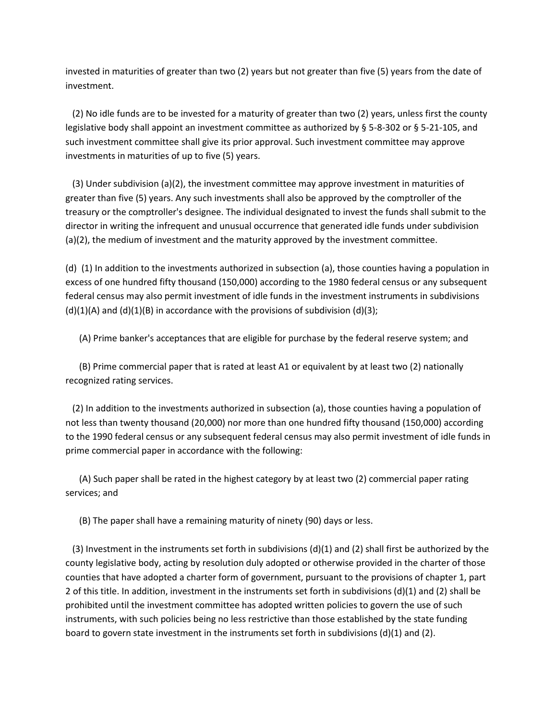invested in maturities of greater than two (2) years but not greater than five (5) years from the date of investment.

 (2) No idle funds are to be invested for a maturity of greater than two (2) years, unless first the county legislative body shall appoint an investment committee as authorized by § 5-8-302 or § 5-21-105, and such investment committee shall give its prior approval. Such investment committee may approve investments in maturities of up to five (5) years.

 (3) Under subdivision (a)(2), the investment committee may approve investment in maturities of greater than five (5) years. Any such investments shall also be approved by the comptroller of the treasury or the comptroller's designee. The individual designated to invest the funds shall submit to the director in writing the infrequent and unusual occurrence that generated idle funds under subdivision (a)(2), the medium of investment and the maturity approved by the investment committee.

(d) (1) In addition to the investments authorized in subsection (a), those counties having a population in excess of one hundred fifty thousand (150,000) according to the 1980 federal census or any subsequent federal census may also permit investment of idle funds in the investment instruments in subdivisions  $(d)(1)(A)$  and  $(d)(1)(B)$  in accordance with the provisions of subdivision  $(d)(3)$ ;

(A) Prime banker's acceptances that are eligible for purchase by the federal reserve system; and

 (B) Prime commercial paper that is rated at least A1 or equivalent by at least two (2) nationally recognized rating services.

 (2) In addition to the investments authorized in subsection (a), those counties having a population of not less than twenty thousand (20,000) nor more than one hundred fifty thousand (150,000) according to the 1990 federal census or any subsequent federal census may also permit investment of idle funds in prime commercial paper in accordance with the following:

 (A) Such paper shall be rated in the highest category by at least two (2) commercial paper rating services; and

(B) The paper shall have a remaining maturity of ninety (90) days or less.

(3) Investment in the instruments set forth in subdivisions  $(d)(1)$  and  $(2)$  shall first be authorized by the county legislative body, acting by resolution duly adopted or otherwise provided in the charter of those counties that have adopted a charter form of government, pursuant to the provisions of chapter 1, part 2 of this title. In addition, investment in the instruments set forth in subdivisions (d)(1) and (2) shall be prohibited until the investment committee has adopted written policies to govern the use of such instruments, with such policies being no less restrictive than those established by the state funding board to govern state investment in the instruments set forth in subdivisions (d)(1) and (2).